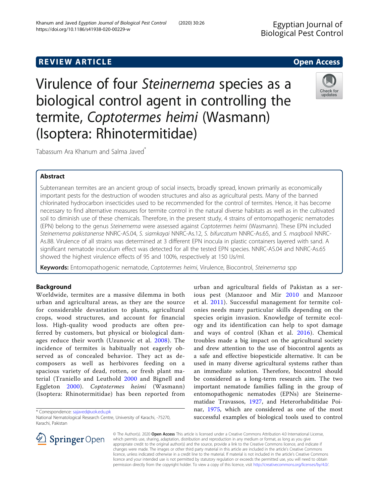Virulence of four Steinernema species as a termite, Coptotermes heimi (Wasmann)

Tabassum Ara Khanum and Salma Javed<sup>\*</sup>

### Abstract

Subterranean termites are an ancient group of social insects, broadly spread, known primarily as economically important pests for the destruction of wooden structures and also as agricultural pests. Many of the banned chlorinated hydrocarbon insecticides used to be recommended for the control of termites. Hence, it has become necessary to find alternative measures for termite control in the natural diverse habitats as well as in the cultivated soil to diminish use of these chemicals. Therefore, in the present study, 4 strains of entomopathogenic nematodes (EPN) belong to the genus Steinernema were assessed against Coptotermes heimi (Wasmann). These EPN included Steinernema pakistanense NNRC-AS.04, S. siamkayai NNRC-As.12, S. bifurcatum NNRC-As.65, and S. maqbooli NNRC-As.88. Virulence of all strains was determined at 3 different EPN inocula in plastic containers layered with sand. A significant nematode inoculum effect was detected for all the tested EPN species. NNRC-AS.04 and NNRC-As.65 showed the highest virulence effects of 95 and 100%, respectively at 150 IJs/ml.

Keywords: Entomopathogenic nematode, Coptotermes heimi, Virulence, Biocontrol, Steinernema spp

### Background

Worldwide, termites are a massive dilemma in both urban and agricultural areas, as they are the source for considerable devastation to plants, agricultural crops, wood structures, and account for financial loss. High-quality wood products are often preferred by customers, but physical or biological damages reduce their worth (Uzunovic et al. [2008\)](#page-3-0). The incidence of termites is habitually not eagerly observed as of concealed behavior. They act as decomposers as well as herbivores feeding on a spacious variety of dead, rotten, or fresh plant material (Traniello and Leuthold [2000](#page-3-0) and Bignell and Eggleton [2000\)](#page-3-0). Coptotermes heimi (Wasmann) (Isoptera: Rhinotermitidae) has been reported from

\* Correspondence: [sajaved@uok.edu.pk](mailto:sajaved@uok.edu.pk)

National Nematological Research Centre, University of Karachi, -75270, Karachi, Pakistan

© The Author(s). 2020 Open Access This article is licensed under a Creative Commons Attribution 4.0 International License, which permits use, sharing, adaptation, distribution and reproduction in any medium or format, as long as you give appropriate credit to the original author(s) and the source, provide a link to the Creative Commons licence, and indicate if changes were made. The images or other third party material in this article are included in the article's Creative Commons licence, unless indicated otherwise in a credit line to the material. If material is not included in the article's Creative Commons licence and your intended use is not permitted by statutory regulation or exceeds the permitted use, you will need to obtain permission directly from the copyright holder. To view a copy of this licence, visit <http://creativecommons.org/licenses/by/4.0/>.

urban and agricultural fields of Pakistan as a serious pest (Manzoor and Mir [2010](#page-3-0) and Manzoor et al. [2011\)](#page-3-0). Successful management for termite colonies needs many particular skills depending on the species origin invasion. Knowledge of termite ecology and its identification can help to spot damage and ways of control (Khan et al. [2016\)](#page-3-0). Chemical troubles made a big impact on the agricultural society and drew attention to the use of biocontrol agents as a safe and effective biopesticide alternative. It can be used in many diverse agricultural systems rather than an immediate solution. Therefore, biocontrol should be considered as a long-term research aim. The two important nematode families falling in the group of entomopathogenic nematodes (EPNs) are Steinernematidae Travassos, [1927,](#page-3-0) and Heterorhabditidae Poinar, [1975,](#page-3-0) which are considered as one of the most successful examples of biological tools used to control

Ingiral Pest Control  $\mathbf{C}$ 

biological control agent in controlling the (Isoptera: Rhinotermitidae)





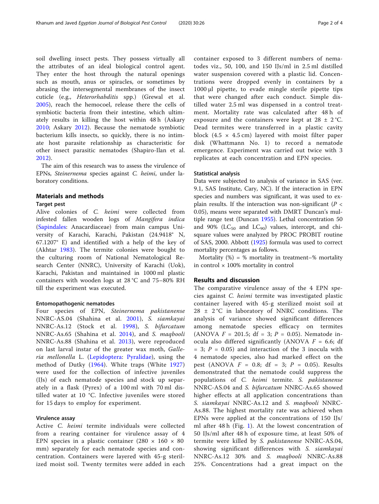soil dwelling insect pests. They possess virtually all the attributes of an ideal biological control agent. They enter the host through the natural openings such as mouth, anus or spiracles, or sometimes by abrasing the intersegmental membranes of the insect cuticle (e.g., Heterorhabditis spp.) (Grewal et al. [2005\)](#page-3-0), reach the hemocoel, release there the cells of symbiotic bacteria from their intestine, which ultimately results in killing the host within 48 h (Askary [2010;](#page-3-0) Askary [2012\)](#page-3-0). Because the nematode symbiotic bacterium kills insects, so quickly, there is no intimate host parasite relationship as characteristic for other insect parasitic nematodes (Shapiro-Ilan et al. [2012\)](#page-3-0).

The aim of this research was to assess the virulence of EPNs, Steinernema species against C. heimi, under laboratory conditions.

#### Materials and methods

#### Target pest

Alive colonies of C. heimi were collected from infested fallen wooden logs of Mangifera indica ([Sapindales:](https://en.wikipedia.org/wiki/Sapindales) Anacardiaceae) from main campus University of Karachi, Karachi, Pakistan (24.9418° N, 67.1207° E) and identified with a help of the key of (Akhtar [1983](#page-3-0)). The termite colonies were bought to the culturing room of National Nematological Research Center (NNRC), University of Karachi (Uok), Karachi, Pakistan and maintained in 1000 ml plastic containers with wooden logs at 28 °C and 75–80% RH till the experiment was executed.

#### Entomopathogenic nematodes

Four species of EPN, Steinernema pakistanense NNRC-AS.04 (Shahina et al. [2001](#page-3-0)), S. siamkayai NNRC-As.12 (Stock et al. [1998\)](#page-3-0), S. bifurcatum NNRC-As.65 (Shahina et al. [2014\)](#page-3-0), and S. maqbooli NNRC-As.88 (Shahina et al. [2013\)](#page-3-0), were reproduced on last larval instar of the greater wax moth, Galleria mellonella L. ([Lepidoptera:](https://www.google.com.pk/search?q=Lepidoptera&stick=H4sIAAAAAAAAAOPgE-LSz9U3MEkvSzEwUeIAsVPijXK1dDPKrfST83NyUpNLMvPz9POL0hPzMotz45NzEouLM9MykxNB4sVW-UUpqUWLWLl9UgsyU_ILSlKLEnewMgIApRBUclgAAAA&sa=X&ved=2ahUKEwjK0LG-v5vnAhXI5KQKHYdzDO0QmxMoATAfegQIDBAR) [Pyralidae](https://en.wikipedia.org/wiki/Pyralidae)), using the method of Dutky ([1964](#page-3-0)). White traps (White [1927](#page-3-0)) were used for the collection of infective juveniles (IJs) of each nematode species and stock up separately in a flask (Pyrex) of a 100 ml with 70 ml distilled water at 10 °C. Infective juveniles were stored for 15 days to employ for experiment.

#### Virulence assay

Active C. heimi termite individuals were collected from a rearing container for virulence assay of 4 EPN species in a plastic container  $(280 \times 160 \times 80)$ mm) separately for each nematode species and concentration. Containers were layered with 45-g sterilized moist soil. Twenty termites were added in each container exposed to 3 different numbers of nematodes viz., 50, 100, and 150 IJs/ml in 2.5 ml distilled water suspension covered with a plastic lid. Concentrations were dropped evenly in containers by a 1000 μl pipette, to evade mingle sterile pipette tips that were changed after each conduct. Simple distilled water 2.5 ml was dispensed in a control treatment. Mortality rate was calculated after 48 h of exposure and the containers were kept at  $28 \pm 2$  °C. Dead termites were transferred in a plastic cavity block  $(4.5 \times 4.5 \text{ cm})$  layered with moist filter paper disk (Whattmann No. 1) to record a nematode emergence. Experiment was carried out twice with 3 replicates at each concentration and EPN species.

#### Statistical analysis

Data were subjected to analysis of variance in SAS (ver. 9.1, SAS Institute, Cary, NC). If the interaction in EPN species and numbers was significant, it was used to explain results. If the interaction was non-significant ( $P <$ 0.05), means were separated with DMRT Duncan's multiple range test (Duncan [1955\)](#page-3-0). Lethal concentration 50 and 90% ( $LC_{50}$  and  $LC_{90}$ ) values, intercept, and chisquare values were analyzed by PROC PROBIT routine of SAS, 2000. Abbott ([1925](#page-3-0)) formula was used to correct mortality percentages as follows.

Mortality  $(\%) = \%$  mortality in treatment– $\%$  mortality in control  $\times$  100% mortality in control

#### Results and discussion

The comparative virulence assay of the 4 EPN species against C. heimi termite was investigated plastic container layered with 45-g sterilized moist soil at  $28 \pm 2^{\circ}$ C in laboratory of NNRC conditions. The analysis of variance showed significant differences among nematode species efficacy on termites (ANOVA  $F = 201.5$ ; df = 3;  $P = 0.05$ ). Nematode inocula also differed significantly (ANOVA  $F = 6.6$ ; df  $= 3$ ;  $P = 0.05$ ) and interaction of the 3 inocula with 4 nematode species, also had marked effect on the pest (ANOVA  $F = 0.8$ ; df = 3;  $P = 0.05$ ). Results demonstrated that the nematode could suppress the populations of C. heimi termite. S. pakistanense NNRC-AS.04 and S. bifurcatum NNRC-As.65 showed higher effects at all application concentrations than S. siamkayai NNRC-As.12 and S. maqbooli NNRC-As.88. The highest mortality rate was achieved when EPNs were applied at the concentrations of 150 IJs/ ml after 48 h (Fig. [1\)](#page-2-0). At the lowest concentration of 50 IJs/ml after 48 h of exposure time, at least 50% of termite were killed by S. pakistanense NNRC-AS.04, showing significant differences with S. siamkayai NNRC-As.12 30% and S. maqbooli NNRC-As.88 25%. Concentrations had a great impact on the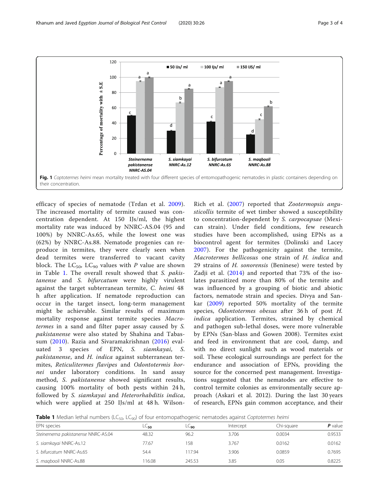<span id="page-2-0"></span>

efficacy of species of nematode (Trdan et al. [2009](#page-3-0)). The increased mortality of termite caused was concentration dependent. At 150 IJs/ml, the highest mortality rate was induced by NNRC-AS.04 (95 and 100%) by NNRC-As.65, while the lowest one was (62%) by NNRC-As.88. Nematode progenies can reproduce in termites, they were clearly seen when dead termites were transferred to vacant cavity block. The  $LC_{50}$ ,  $LC_{90}$  values with P value are shown in Table 1. The overall result showed that S. pakistanense and S. bifurcatum were highly virulent against the target subterranean termite, C. heimi 48 h after application. If nematode reproduction can occur in the target insect, long-term management might be achievable. Similar results of maximum mortality response against termite species Macrotermes in a sand and filter paper assay caused by S. pakistanense were also stated by Shahina and Tabassum ([2010\)](#page-3-0). Razia and Sivaramakrishnan [\(2016\)](#page-3-0) evaluated 3 species of EPN, S. siamkayai, S. pakistanense, and H. indica against subterranean termites, Reticulitermes flavipes and Odontotermis hornei under laboratory conditions. In sand assay method, S. pakistanense showed significant results, causing 100% mortality of both pests within 24 h, followed by S. siamkayai and Heterorhabditis indica, which were applied at 250 IJs/ml at 48 h. Wilson-

Rich et al. ([2007\)](#page-3-0) reported that Zootermopsis angusticollis termite of wet timber showed a susceptibility to concentration-dependent by S. carpocapsae (Mexican strain). Under field conditions, few research studies have been accomplished, using EPNs as a biocontrol agent for termites (Dolinski and Lacey [2007](#page-3-0)). For the pathogenicity against the termite, Macrotermes bellicosus one strain of H. indica and 29 strains of H. sonorensis (Beninese) were tested by Zadji et al. ([2014\)](#page-3-0) and reported that 73% of the isolates parasitized more than 80% of the termite and was influenced by a grouping of biotic and abiotic factors, nematode strain and species. Divya and Sankar ([2009\)](#page-3-0) reported 50% mortality of the termite species, Odontotermes obesus after 36 h of post H. indica application. Termites, strained by chemical and pathogen sub-lethal doses, were more vulnerable by EPNs (San-blass and Gowen 2008). Termites exist and feed in environment that are cool, damp, and with no direct sunlight such as wood materials or soil. These ecological surroundings are perfect for the endurance and association of EPNs, providing the source for the concerned pest management. Investigations suggested that the nematodes are effective to control termite colonies as environmentally secure approach (Askari et al. 2012). During the last 30 years of research, EPNs gain common acceptance, and their

Table 1 Median lethal numbers (LC<sub>50</sub>, LC<sub>90</sub>) of four entomopathogenic nematodes against Coptotermes heimi

| EPN species                         | $L\subseteq$ 50 | LC <sub>90</sub> | Intercept | Chi-sauare | $P$ value |
|-------------------------------------|-----------------|------------------|-----------|------------|-----------|
| Steinernema pakistanense NNRC-AS.04 | 48.32           | 96.2             | 3.706     | 0.0034     | 0.9533    |
| S. siamkayai NNRC-As.12             | 77.67           | 158              | 3.767     | 0.0162     | 0.0162    |
| S. bifurcatum NNRC-As.65            | 54.4            | 117.94           | 3.906     | 0.0859     | 0.7695    |
| S. magbooli NNRC-As.88              | 16.08           | 245.53           | 3.85      | 0.05       | 0.8225    |